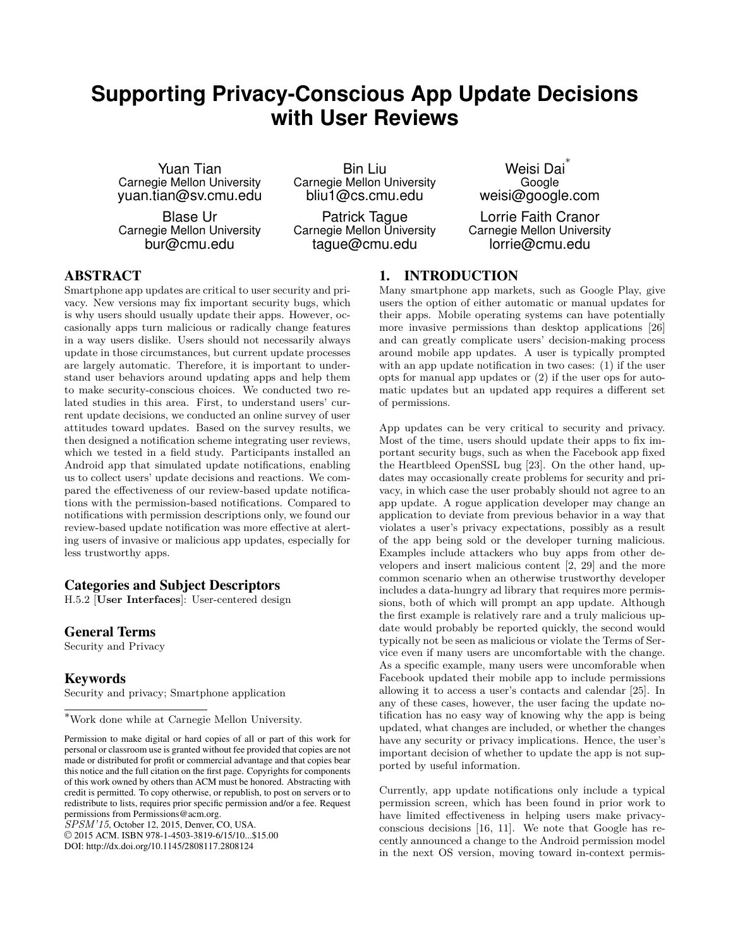# **Supporting Privacy-Conscious App Update Decisions with User Reviews**

Yuan Tian Carnegie Mellon University yuan.tian@sv.cmu.edu

Blase Ur Carnegie Mellon University bur@cmu.edu

Bin Liu Carnegie Mellon University bliu1@cs.cmu.edu

Patrick Tague Carnegie Mellon University tague@cmu.edu

# ABSTRACT

Smartphone app updates are critical to user security and privacy. New versions may fix important security bugs, which is why users should usually update their apps. However, occasionally apps turn malicious or radically change features in a way users dislike. Users should not necessarily always update in those circumstances, but current update processes are largely automatic. Therefore, it is important to understand user behaviors around updating apps and help them to make security-conscious choices. We conducted two related studies in this area. First, to understand users' current update decisions, we conducted an online survey of user attitudes toward updates. Based on the survey results, we then designed a notification scheme integrating user reviews, which we tested in a field study. Participants installed an Android app that simulated update notifications, enabling us to collect users' update decisions and reactions. We compared the effectiveness of our review-based update notifications with the permission-based notifications. Compared to notifications with permission descriptions only, we found our review-based update notification was more effective at alerting users of invasive or malicious app updates, especially for less trustworthy apps.

### Categories and Subject Descriptors

H.5.2 [**User Interfaces**]: User-centered design

#### General Terms

Security and Privacy

#### Keywords

Security and privacy; Smartphone application

permissions from Permissions@acm.org. *SPSM'15*, October 12, 2015, Denver, CO, USA.

© 2015 ACM. ISBN 978-1-4503-3819-6/15/10...\$15.00

DOI: http://dx.doi.org/10.1145/2808117.2808124

# 1. INTRODUCTION

Many smartphone app markets, such as Google Play, give users the option of either automatic or manual updates for their apps. Mobile operating systems can have potentially more invasive permissions than desktop applications [\[26](#page-10-0)] and can greatly complicate users' decision-making process around mobile app updates. A user is typically prompted with an app update notification in two cases: (1) if the user opts for manual app updates or (2) if the user ops for automatic updates but an updated app requires a different set of permissions.

Weisi Dai *∗* Google weisi@google.com

Lorrie Faith Cranor Carnegie Mellon University lorrie@cmu.edu

App updates can be very critical to security and privacy. Most of the time, users should update their apps to fix important security bugs, such as when the Facebook app fixed the Heartbleed OpenSSL bug [[23\]](#page-10-1). On the other hand, updates may occasionally create problems for security and privacy, in which case the user probably should not agree to an app update. A rogue application developer may change an application to deviate from previous behavior in a way that violates a user's privacy expectations, possibly as a result of the app being sold or the developer turning malicious. Examples include attackers who buy apps from other developers and insert malicious content [[2](#page-9-0), [29\]](#page-10-2) and the more common scenario when an otherwise trustworthy developer includes a data-hungry ad library that requires more permissions, both of which will prompt an app update. Although the first example is relatively rare and a truly malicious update would probably be reported quickly, the second would typically not be seen as malicious or violate the Terms of Service even if many users are uncomfortable with the change. As a specific example, many users were uncomforable when Facebook updated their mobile app to include permissions allowing it to access a user's contacts and calendar [[25\]](#page-10-3). In any of these cases, however, the user facing the update notification has no easy way of knowing why the app is being updated, what changes are included, or whether the changes have any security or privacy implications. Hence, the user's important decision of whether to update the app is not supported by useful information.

Currently, app update notifications only include a typical permission screen, which has been found in prior work to have limited effectiveness in helping users make privacyconscious decisions [\[16](#page-10-4), [11](#page-10-5)]. We note that Google has recently announced a change to the Android permission model in the next OS version, moving toward in-context permis-

*<sup>∗</sup>*Work done while at Carnegie Mellon University.

Permission to make digital or hard copies of all or part of this work for personal or classroom use is granted without fee provided that copies are not made or distributed for profit or commercial advantage and that copies bear this notice and the full citation on the first page. Copyrights for components of this work owned by others than ACM must be honored. Abstracting with credit is permitted. To copy otherwise, or republish, to post on servers or to redistribute to lists, requires prior specific permission and/or a fee. Request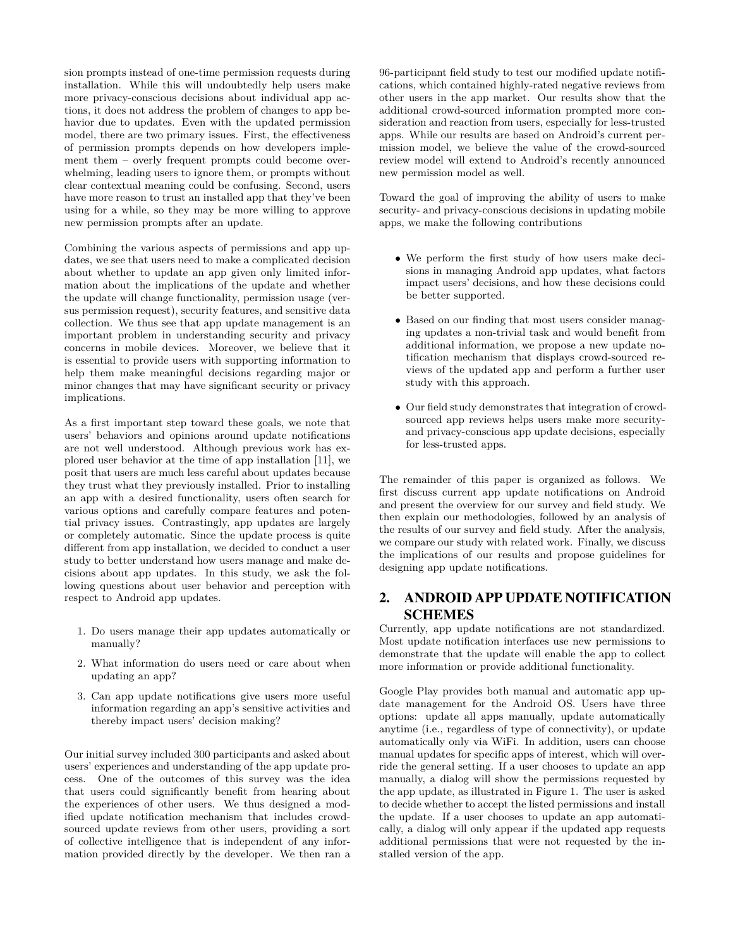sion prompts instead of one-time permission requests during installation. While this will undoubtedly help users make more privacy-conscious decisions about individual app actions, it does not address the problem of changes to app behavior due to updates. Even with the updated permission model, there are two primary issues. First, the effectiveness of permission prompts depends on how developers implement them – overly frequent prompts could become overwhelming, leading users to ignore them, or prompts without clear contextual meaning could be confusing. Second, users have more reason to trust an installed app that they've been using for a while, so they may be more willing to approve new permission prompts after an update.

Combining the various aspects of permissions and app updates, we see that users need to make a complicated decision about whether to update an app given only limited information about the implications of the update and whether the update will change functionality, permission usage (versus permission request), security features, and sensitive data collection. We thus see that app update management is an important problem in understanding security and privacy concerns in mobile devices. Moreover, we believe that it is essential to provide users with supporting information to help them make meaningful decisions regarding major or minor changes that may have significant security or privacy implications.

As a first important step toward these goals, we note that users' behaviors and opinions around update notifications are not well understood. Although previous work has explored user behavior at the time of app installation [\[11](#page-10-5)], we posit that users are much less careful about updates because they trust what they previously installed. Prior to installing an app with a desired functionality, users often search for various options and carefully compare features and potential privacy issues. Contrastingly, app updates are largely or completely automatic. Since the update process is quite different from app installation, we decided to conduct a user study to better understand how users manage and make decisions about app updates. In this study, we ask the following questions about user behavior and perception with respect to Android app updates.

- 1. Do users manage their app updates automatically or manually?
- 2. What information do users need or care about when updating an app?
- 3. Can app update notifications give users more useful information regarding an app's sensitive activities and thereby impact users' decision making?

Our initial survey included 300 participants and asked about users' experiences and understanding of the app update process. One of the outcomes of this survey was the idea that users could significantly benefit from hearing about the experiences of other users. We thus designed a modified update notification mechanism that includes crowdsourced update reviews from other users, providing a sort of collective intelligence that is independent of any information provided directly by the developer. We then ran a

96-participant field study to test our modified update notifications, which contained highly-rated negative reviews from other users in the app market. Our results show that the additional crowd-sourced information prompted more consideration and reaction from users, especially for less-trusted apps. While our results are based on Android's current permission model, we believe the value of the crowd-sourced review model will extend to Android's recently announced new permission model as well.

Toward the goal of improving the ability of users to make security- and privacy-conscious decisions in updating mobile apps, we make the following contributions

- *•* We perform the first study of how users make decisions in managing Android app updates, what factors impact users' decisions, and how these decisions could be better supported.
- *•* Based on our finding that most users consider managing updates a non-trivial task and would benefit from additional information, we propose a new update notification mechanism that displays crowd-sourced reviews of the updated app and perform a further user study with this approach.
- *•* Our field study demonstrates that integration of crowdsourced app reviews helps users make more securityand privacy-conscious app update decisions, especially for less-trusted apps.

The remainder of this paper is organized as follows. We first discuss current app update notifications on Android and present the overview for our survey and field study. We then explain our methodologies, followed by an analysis of the results of our survey and field study. After the analysis, we compare our study with related work. Finally, we discuss the implications of our results and propose guidelines for designing app update notifications.

# 2. ANDROID APP UPDATE NOTIFICATION SCHEMES

Currently, app update notifications are not standardized. Most update notification interfaces use new permissions to demonstrate that the update will enable the app to collect more information or provide additional functionality.

Google Play provides both manual and automatic app update management for the Android OS. Users have three options: update all apps manually, update automatically anytime (i.e., regardless of type of connectivity), or update automatically only via WiFi. In addition, users can choose manual updates for specific apps of interest, which will override the general setting. If a user chooses to update an app manually, a dialog will show the permissions requested by the app update, as illustrated in Figure [1.](#page-2-0) The user is asked to decide whether to accept the listed permissions and install the update. If a user chooses to update an app automatically, a dialog will only appear if the updated app requests additional permissions that were not requested by the installed version of the app.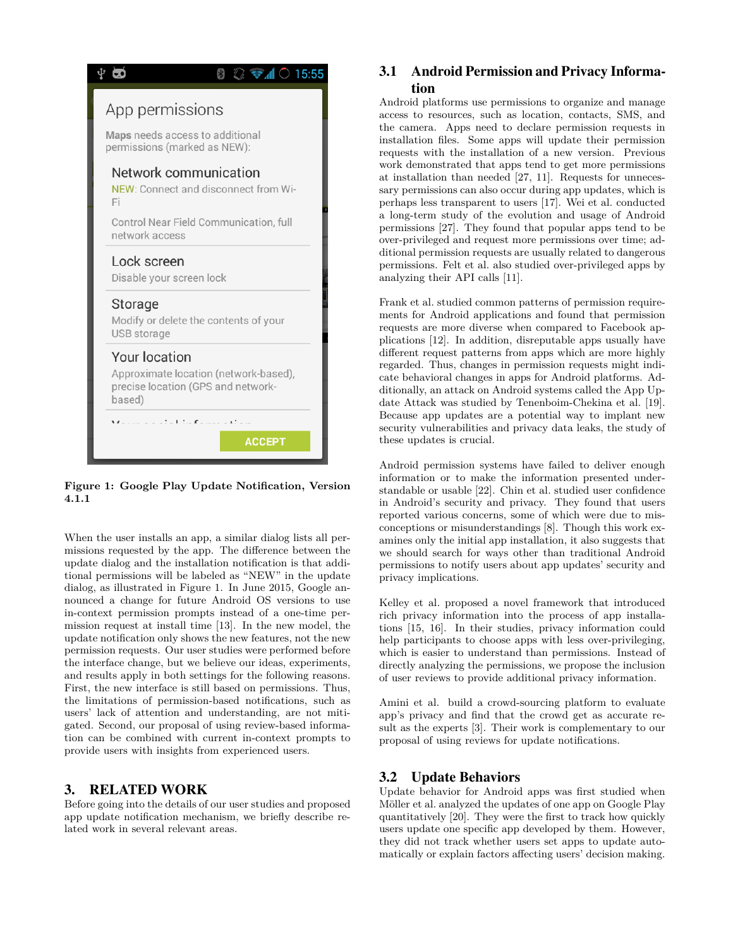

<span id="page-2-0"></span>**Figure 1: Google Play Update Notification, Version 4.1.1**

When the user installs an app, a similar dialog lists all permissions requested by the app. The difference between the update dialog and the installation notification is that additional permissions will be labeled as "NEW" in the update dialog, as illustrated in Figure [1.](#page-2-0) In June 2015, Google announced a change for future Android OS versions to use in-context permission prompts instead of a one-time permission request at install time [[13](#page-10-6)]. In the new model, the update notification only shows the new features, not the new permission requests. Our user studies were performed before the interface change, but we believe our ideas, experiments, and results apply in both settings for the following reasons. First, the new interface is still based on permissions. Thus, the limitations of permission-based notifications, such as users' lack of attention and understanding, are not mitigated. Second, our proposal of using review-based information can be combined with current in-context prompts to provide users with insights from experienced users.

### 3. RELATED WORK

Before going into the details of our user studies and proposed app update notification mechanism, we briefly describe related work in several relevant areas.

# 3.1 Android Permission and Privacy Information

Android platforms use permissions to organize and manage access to resources, such as location, contacts, SMS, and the camera. Apps need to declare permission requests in installation files. Some apps will update their permission requests with the installation of a new version. Previous work demonstrated that apps tend to get more permissions at installation than needed [[27,](#page-10-7) [11](#page-10-5)]. Requests for unnecessary permissions can also occur during app updates, which is perhaps less transparent to users [[17\]](#page-10-8). Wei et al. conducted a long-term study of the evolution and usage of Android permissions [\[27](#page-10-7)]. They found that popular apps tend to be over-privileged and request more permissions over time; additional permission requests are usually related to dangerous permissions. Felt et al. also studied over-privileged apps by analyzing their API calls [[11\]](#page-10-5).

Frank et al. studied common patterns of permission requirements for Android applications and found that permission requests are more diverse when compared to Facebook applications [\[12](#page-10-9)]. In addition, disreputable apps usually have different request patterns from apps which are more highly regarded. Thus, changes in permission requests might indicate behavioral changes in apps for Android platforms. Additionally, an attack on Android systems called the App Update Attack was studied by Tenenboim-Chekina et al. [[19\]](#page-10-10). Because app updates are a potential way to implant new security vulnerabilities and privacy data leaks, the study of these updates is crucial.

Android permission systems have failed to deliver enough information or to make the information presented understandable or usable [[22\]](#page-10-11). Chin et al. studied user confidence in Android's security and privacy. They found that users reported various concerns, some of which were due to misconceptions or misunderstandings [[8](#page-10-12)]. Though this work examines only the initial app installation, it also suggests that we should search for ways other than traditional Android permissions to notify users about app updates' security and privacy implications.

Kelley et al. proposed a novel framework that introduced rich privacy information into the process of app installations [[15](#page-10-13), [16](#page-10-4)]. In their studies, privacy information could help participants to choose apps with less over-privileging, which is easier to understand than permissions. Instead of directly analyzing the permissions, we propose the inclusion of user reviews to provide additional privacy information.

Amini et al. build a crowd-sourcing platform to evaluate app's privacy and find that the crowd get as accurate result as the experts [[3](#page-9-1)]. Their work is complementary to our proposal of using reviews for update notifications.

### 3.2 Update Behaviors

Update behavior for Android apps was first studied when Möller et al. analyzed the updates of one app on Google Play quantitatively [\[20](#page-10-14)]. They were the first to track how quickly users update one specific app developed by them. However, they did not track whether users set apps to update automatically or explain factors affecting users' decision making.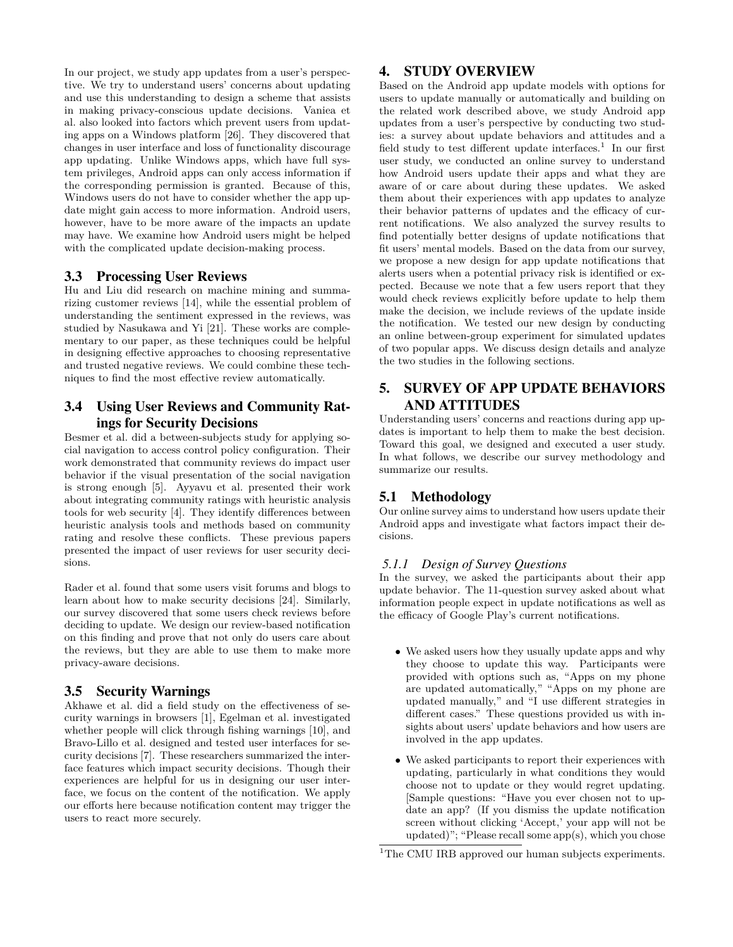In our project, we study app updates from a user's perspective. We try to understand users' concerns about updating and use this understanding to design a scheme that assists in making privacy-conscious update decisions. Vaniea et al. also looked into factors which prevent users from updating apps on a Windows platform [[26](#page-10-0)]. They discovered that changes in user interface and loss of functionality discourage app updating. Unlike Windows apps, which have full system privileges, Android apps can only access information if the corresponding permission is granted. Because of this, Windows users do not have to consider whether the app update might gain access to more information. Android users, however, have to be more aware of the impacts an update may have. We examine how Android users might be helped with the complicated update decision-making process.

### 3.3 Processing User Reviews

Hu and Liu did research on machine mining and summarizing customer reviews [[14\]](#page-10-15), while the essential problem of understanding the sentiment expressed in the reviews, was studied by Nasukawa and Yi [\[21](#page-10-16)]. These works are complementary to our paper, as these techniques could be helpful in designing effective approaches to choosing representative and trusted negative reviews. We could combine these techniques to find the most effective review automatically.

### 3.4 Using User Reviews and Community Ratings for Security Decisions

Besmer et al. did a between-subjects study for applying social navigation to access control policy configuration. Their work demonstrated that community reviews do impact user behavior if the visual presentation of the social navigation is strong enough [\[5](#page-9-2)]. Ayyavu et al. presented their work about integrating community ratings with heuristic analysis tools for web security [\[4\]](#page-9-3). They identify differences between heuristic analysis tools and methods based on community rating and resolve these conflicts. These previous papers presented the impact of user reviews for user security decisions.

Rader et al. found that some users visit forums and blogs to learn about how to make security decisions [[24\]](#page-10-17). Similarly, our survey discovered that some users check reviews before deciding to update. We design our review-based notification on this finding and prove that not only do users care about the reviews, but they are able to use them to make more privacy-aware decisions.

# 3.5 Security Warnings

Akhawe et al. did a field study on the effectiveness of security warnings in browsers [\[1](#page-9-4)], Egelman et al. investigated whether people will click through fishing warnings [[10\]](#page-10-18), and Bravo-Lillo et al. designed and tested user interfaces for security decisions [[7\]](#page-10-19). These researchers summarized the interface features which impact security decisions. Though their experiences are helpful for us in designing our user interface, we focus on the content of the notification. We apply our efforts here because notification content may trigger the users to react more securely.

### 4. STUDY OVERVIEW

Based on the Android app update models with options for users to update manually or automatically and building on the related work described above, we study Android app updates from a user's perspective by conducting two studies: a survey about update behaviors and attitudes and a field study to test different update interfaces.<sup>[1](#page-3-0)</sup> In our first user study, we conducted an online survey to understand how Android users update their apps and what they are aware of or care about during these updates. We asked them about their experiences with app updates to analyze their behavior patterns of updates and the efficacy of current notifications. We also analyzed the survey results to find potentially better designs of update notifications that fit users' mental models. Based on the data from our survey, we propose a new design for app update notifications that alerts users when a potential privacy risk is identified or expected. Because we note that a few users report that they would check reviews explicitly before update to help them make the decision, we include reviews of the update inside the notification. We tested our new design by conducting an online between-group experiment for simulated updates of two popular apps. We discuss design details and analyze the two studies in the following sections.

# 5. SURVEY OF APP UPDATE BEHAVIORS AND ATTITUDES

Understanding users' concerns and reactions during app updates is important to help them to make the best decision. Toward this goal, we designed and executed a user study. In what follows, we describe our survey methodology and summarize our results.

# 5.1 Methodology

Our online survey aims to understand how users update their Android apps and investigate what factors impact their decisions.

### *5.1.1 Design of Survey Questions*

In the survey, we asked the participants about their app update behavior. The 11-question survey asked about what information people expect in update notifications as well as the efficacy of Google Play's current notifications.

- *•* We asked users how they usually update apps and why they choose to update this way. Participants were provided with options such as, "Apps on my phone are updated automatically," "Apps on my phone are updated manually," and "I use different strategies in different cases." These questions provided us with insights about users' update behaviors and how users are involved in the app updates.
- *•* We asked participants to report their experiences with updating, particularly in what conditions they would choose not to update or they would regret updating. [Sample questions: "Have you ever chosen not to update an app? (If you dismiss the update notification screen without clicking 'Accept,' your app will not be updated)"; "Please recall some app(s), which you chose

<span id="page-3-0"></span><sup>&</sup>lt;sup>1</sup>The CMU IRB approved our human subjects experiments.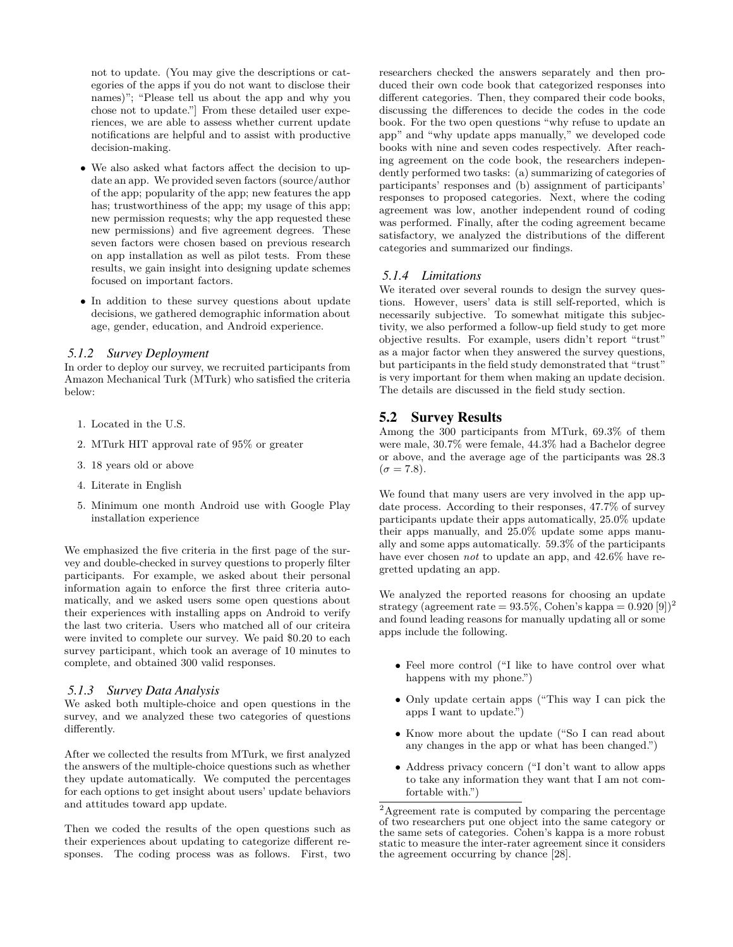not to update. (You may give the descriptions or categories of the apps if you do not want to disclose their names)"; "Please tell us about the app and why you chose not to update."] From these detailed user experiences, we are able to assess whether current update notifications are helpful and to assist with productive decision-making.

- We also asked what factors affect the decision to update an app. We provided seven factors (source/author of the app; popularity of the app; new features the app has; trustworthiness of the app; my usage of this app; new permission requests; why the app requested these new permissions) and five agreement degrees. These seven factors were chosen based on previous research on app installation as well as pilot tests. From these results, we gain insight into designing update schemes focused on important factors.
- *•* In addition to these survey questions about update decisions, we gathered demographic information about age, gender, education, and Android experience.

### *5.1.2 Survey Deployment*

In order to deploy our survey, we recruited participants from Amazon Mechanical Turk (MTurk) who satisfied the criteria below:

- 1. Located in the U.S.
- 2. MTurk HIT approval rate of 95% or greater
- 3. 18 years old or above
- 4. Literate in English
- 5. Minimum one month Android use with Google Play installation experience

We emphasized the five criteria in the first page of the survey and double-checked in survey questions to properly filter participants. For example, we asked about their personal information again to enforce the first three criteria automatically, and we asked users some open questions about their experiences with installing apps on Android to verify the last two criteria. Users who matched all of our criteira were invited to complete our survey. We paid \$0.20 to each survey participant, which took an average of 10 minutes to complete, and obtained 300 valid responses.

#### *5.1.3 Survey Data Analysis*

We asked both multiple-choice and open questions in the survey, and we analyzed these two categories of questions differently.

After we collected the results from MTurk, we first analyzed the answers of the multiple-choice questions such as whether they update automatically. We computed the percentages for each options to get insight about users' update behaviors and attitudes toward app update.

Then we coded the results of the open questions such as their experiences about updating to categorize different responses. The coding process was as follows. First, two researchers checked the answers separately and then produced their own code book that categorized responses into different categories. Then, they compared their code books, discussing the differences to decide the codes in the code book. For the two open questions "why refuse to update an app" and "why update apps manually," we developed code books with nine and seven codes respectively. After reaching agreement on the code book, the researchers independently performed two tasks: (a) summarizing of categories of participants' responses and (b) assignment of participants' responses to proposed categories. Next, where the coding agreement was low, another independent round of coding was performed. Finally, after the coding agreement became satisfactory, we analyzed the distributions of the different categories and summarized our findings.

#### *5.1.4 Limitations*

We iterated over several rounds to design the survey questions. However, users' data is still self-reported, which is necessarily subjective. To somewhat mitigate this subjectivity, we also performed a follow-up field study to get more objective results. For example, users didn't report "trust" as a major factor when they answered the survey questions, but participants in the field study demonstrated that "trust" is very important for them when making an update decision. The details are discussed in the field study section.

#### 5.2 Survey Results

Among the 300 participants from MTurk, 69.3% of them were male, 30.7% were female, 44.3% had a Bachelor degree or above, and the average age of the participants was 28.3  $(\sigma = 7.8).$ 

We found that many users are very involved in the app update process. According to their responses, 47*.*7% of survey participants update their apps automatically, 25*.*0% update their apps manually, and 25*.*0% update some apps manually and some apps automatically. 59*.*3% of the participants have ever chosen *not* to update an app, and 42*.*6% have regretted updating an app.

We analyzed the reported reasons for choosing an update strategy (agreement rate =  $93.5\%$ , Cohen's kappa =  $0.920$  $0.920$  $0.920$  [\[9](#page-10-20)])<sup>2</sup> and found leading reasons for manually updating all or some apps include the following.

- *•* Feel more control ("I like to have control over what happens with my phone.")
- *•* Only update certain apps ("This way I can pick the apps I want to update.")
- *•* Know more about the update ("So I can read about any changes in the app or what has been changed.")
- Address privacy concern ("I don't want to allow apps to take any information they want that I am not comfortable with.")

<span id="page-4-0"></span><sup>2</sup>Agreement rate is computed by comparing the percentage of two researchers put one object into the same category or the same sets of categories. Cohen's kappa is a more robust static to measure the inter-rater agreement since it considers the agreement occurring by chance [\[28](#page-10-21)].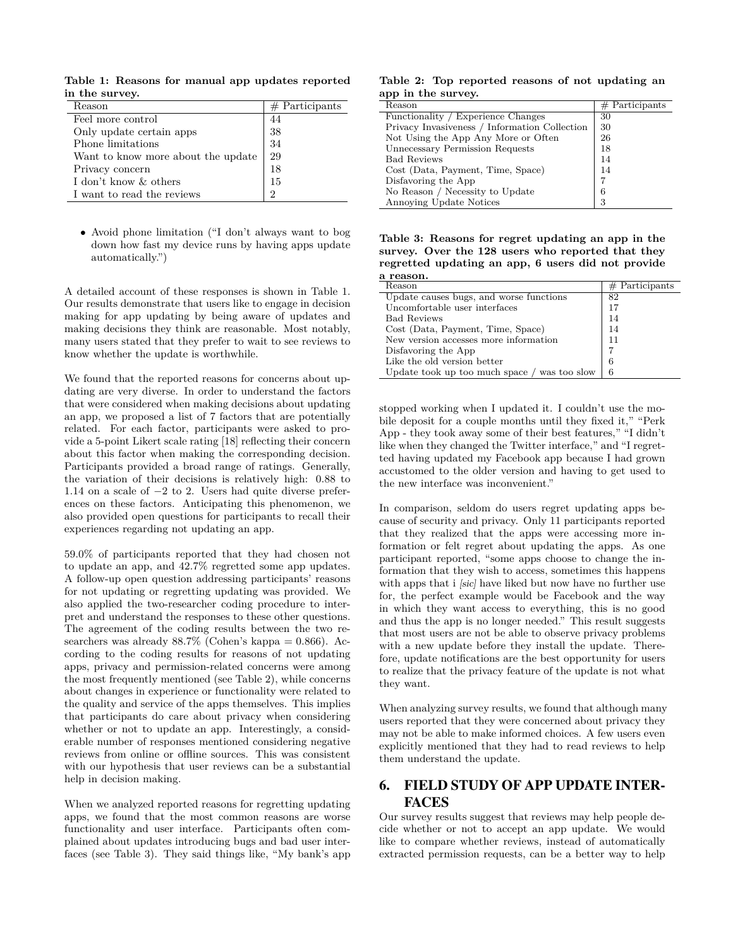<span id="page-5-0"></span>**Table 1: Reasons for manual app updates reported in the survey.**

| Reason                             | $#$ Participants |
|------------------------------------|------------------|
| Feel more control                  | 44               |
| Only update certain apps           | 38               |
| Phone limitations                  | 34               |
| Want to know more about the update | 29               |
| Privacy concern                    | 18               |
| I don't know & others              | 15               |
| I want to read the reviews         | $\mathcal{D}$    |

*•* Avoid phone limitation ("I don't always want to bog down how fast my device runs by having apps update automatically.")

A detailed account of these responses is shown in Table [1](#page-5-0). Our results demonstrate that users like to engage in decision making for app updating by being aware of updates and making decisions they think are reasonable. Most notably, many users stated that they prefer to wait to see reviews to know whether the update is worthwhile.

We found that the reported reasons for concerns about updating are very diverse. In order to understand the factors that were considered when making decisions about updating an app, we proposed a list of 7 factors that are potentially related. For each factor, participants were asked to provide a 5-point Likert scale rating [[18\]](#page-10-22) reflecting their concern about this factor when making the corresponding decision. Participants provided a broad range of ratings. Generally, the variation of their decisions is relatively high: 0.88 to 1*.*14 on a scale of *−*2 to 2. Users had quite diverse preferences on these factors. Anticipating this phenomenon, we also provided open questions for participants to recall their experiences regarding not updating an app.

59*.*0% of participants reported that they had chosen not to update an app, and 42.7% regretted some app updates. A follow-up open question addressing participants' reasons for not updating or regretting updating was provided. We also applied the two-researcher coding procedure to interpret and understand the responses to these other questions. The agreement of the coding results between the two researchers was already 88.7% (Cohen's kappa = 0*.*866). According to the coding results for reasons of not updating apps, privacy and permission-related concerns were among the most frequently mentioned (see Table [2](#page-5-1)), while concerns about changes in experience or functionality were related to the quality and service of the apps themselves. This implies that participants do care about privacy when considering whether or not to update an app. Interestingly, a considerable number of responses mentioned considering negative reviews from online or offline sources. This was consistent with our hypothesis that user reviews can be a substantial help in decision making.

When we analyzed reported reasons for regretting updating apps, we found that the most common reasons are worse functionality and user interface. Participants often complained about updates introducing bugs and bad user interfaces (see Table [3](#page-5-2)). They said things like, "My bank's app

<span id="page-5-1"></span>**Table 2: Top reported reasons of not updating an app in the survey.**

| Reason                                        | $#$ Participants |
|-----------------------------------------------|------------------|
| Functionality / Experience Changes            | 30               |
| Privacy Invasiveness / Information Collection | 30               |
| Not Using the App Any More or Often           | 26               |
| Unnecessary Permission Requests               | 18               |
| <b>Bad Reviews</b>                            | 14               |
| Cost (Data, Payment, Time, Space)             | 14               |
| Disfavoring the App                           |                  |
| No Reason / Necessity to Update               | 6                |
| Annoying Update Notices                       | 3                |

<span id="page-5-2"></span>**Table 3: Reasons for regret updating an app in the survey. Over the 128 users who reported that they regretted updating an app, 6 users did not provide a reason.**

| Reason                                       | $#$ Participants |
|----------------------------------------------|------------------|
| Update causes bugs, and worse functions      | 82               |
| Uncomfortable user interfaces                | 17               |
| <b>Bad Reviews</b>                           | 14               |
| Cost (Data, Payment, Time, Space)            | 14               |
| New version accesses more information        | 11               |
| Disfavoring the App                          |                  |
| Like the old version better                  | 6                |
| Update took up too much space / was too slow | 6                |

stopped working when I updated it. I couldn't use the mobile deposit for a couple months until they fixed it," "Perk App - they took away some of their best features," "I didn't like when they changed the Twitter interface," and "I regretted having updated my Facebook app because I had grown accustomed to the older version and having to get used to the new interface was inconvenient."

In comparison, seldom do users regret updating apps because of security and privacy. Only 11 participants reported that they realized that the apps were accessing more information or felt regret about updating the apps. As one participant reported, "some apps choose to change the information that they wish to access, sometimes this happens with apps that i *[sic]* have liked but now have no further use for, the perfect example would be Facebook and the way in which they want access to everything, this is no good and thus the app is no longer needed." This result suggests that most users are not be able to observe privacy problems with a new update before they install the update. Therefore, update notifications are the best opportunity for users to realize that the privacy feature of the update is not what they want.

When analyzing survey results, we found that although many users reported that they were concerned about privacy they may not be able to make informed choices. A few users even explicitly mentioned that they had to read reviews to help them understand the update.

# 6. FIELD STUDY OF APP UPDATE INTER-FACES

Our survey results suggest that reviews may help people decide whether or not to accept an app update. We would like to compare whether reviews, instead of automatically extracted permission requests, can be a better way to help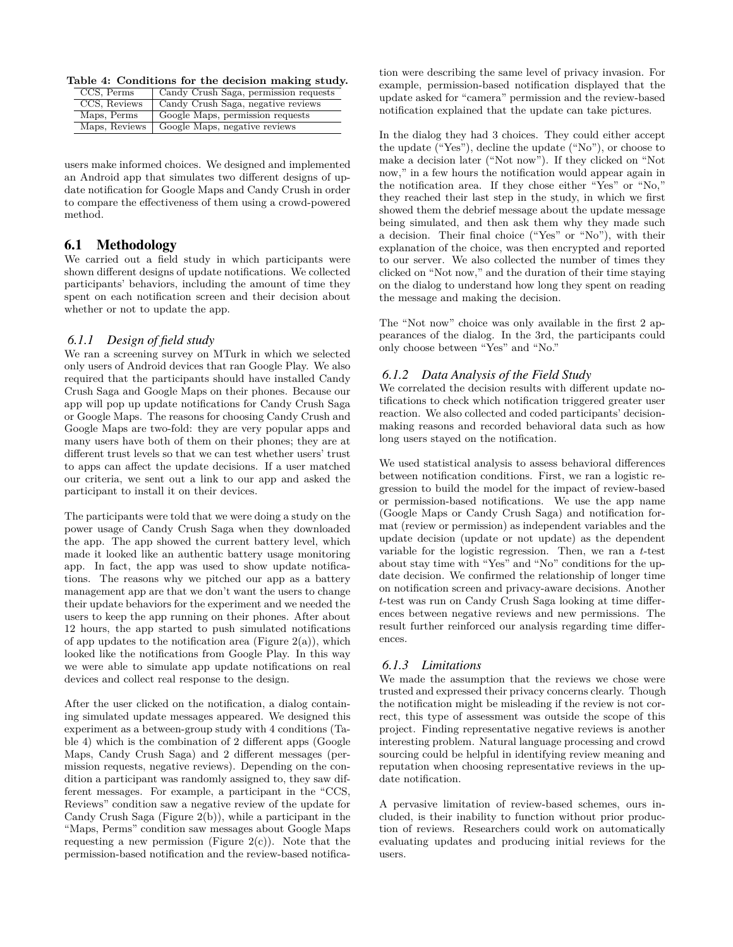**Table 4: Conditions for the decision making study.**

<span id="page-6-0"></span>

| CCS, Perms    | Candy Crush Saga, permission requests |
|---------------|---------------------------------------|
| CCS, Reviews  | Candy Crush Saga, negative reviews    |
| Maps, Perms   | Google Maps, permission requests      |
| Maps, Reviews | Google Maps, negative reviews         |

users make informed choices. We designed and implemented an Android app that simulates two different designs of update notification for Google Maps and Candy Crush in order to compare the effectiveness of them using a crowd-powered method.

#### 6.1 Methodology

We carried out a field study in which participants were shown different designs of update notifications. We collected participants' behaviors, including the amount of time they spent on each notification screen and their decision about whether or not to update the app.

#### *6.1.1 Design of field study*

We ran a screening survey on MTurk in which we selected only users of Android devices that ran Google Play. We also required that the participants should have installed Candy Crush Saga and Google Maps on their phones. Because our app will pop up update notifications for Candy Crush Saga or Google Maps. The reasons for choosing Candy Crush and Google Maps are two-fold: they are very popular apps and many users have both of them on their phones; they are at different trust levels so that we can test whether users' trust to apps can affect the update decisions. If a user matched our criteria, we sent out a link to our app and asked the participant to install it on their devices.

The participants were told that we were doing a study on the power usage of Candy Crush Saga when they downloaded the app. The app showed the current battery level, which made it looked like an authentic battery usage monitoring app. In fact, the app was used to show update notifications. The reasons why we pitched our app as a battery management app are that we don't want the users to change their update behaviors for the experiment and we needed the users to keep the app running on their phones. After about 12 hours, the app started to push simulated notifications of app updates to the notification area (Figure  $2(a)$ ), which looked like the notifications from Google Play. In this way we were able to simulate app update notifications on real devices and collect real response to the design.

After the user clicked on the notification, a dialog containing simulated update messages appeared. We designed this experiment as a between-group study with 4 conditions (Table [4](#page-6-0)) which is the combination of 2 different apps (Google Maps, Candy Crush Saga) and 2 different messages (permission requests, negative reviews). Depending on the condition a participant was randomly assigned to, they saw different messages. For example, a participant in the "CCS, Reviews" condition saw a negative review of the update for Candy Crush Saga (Figure [2\(b\)\)](#page-7-1), while a participant in the "Maps, Perms" condition saw messages about Google Maps requesting a new permission (Figure  $2(c)$ ). Note that the permission-based notification and the review-based notification were describing the same level of privacy invasion. For example, permission-based notification displayed that the update asked for "camera" permission and the review-based notification explained that the update can take pictures.

In the dialog they had 3 choices. They could either accept the update ("Yes"), decline the update ("No"), or choose to make a decision later ("Not now"). If they clicked on "Not now," in a few hours the notification would appear again in the notification area. If they chose either "Yes" or "No," they reached their last step in the study, in which we first showed them the debrief message about the update message being simulated, and then ask them why they made such a decision. Their final choice ("Yes" or "No"), with their explanation of the choice, was then encrypted and reported to our server. We also collected the number of times they clicked on "Not now," and the duration of their time staying on the dialog to understand how long they spent on reading the message and making the decision.

The "Not now" choice was only available in the first 2 appearances of the dialog. In the 3rd, the participants could only choose between "Yes" and "No."

#### *6.1.2 Data Analysis of the Field Study*

We correlated the decision results with different update notifications to check which notification triggered greater user reaction. We also collected and coded participants' decisionmaking reasons and recorded behavioral data such as how long users stayed on the notification.

We used statistical analysis to assess behavioral differences between notification conditions. First, we ran a logistic regression to build the model for the impact of review-based or permission-based notifications. We use the app name (Google Maps or Candy Crush Saga) and notification format (review or permission) as independent variables and the update decision (update or not update) as the dependent variable for the logistic regression. Then, we ran a *t*-test about stay time with "Yes" and "No" conditions for the update decision. We confirmed the relationship of longer time on notification screen and privacy-aware decisions. Another *t*-test was run on Candy Crush Saga looking at time differences between negative reviews and new permissions. The result further reinforced our analysis regarding time differences.

#### *6.1.3 Limitations*

We made the assumption that the reviews we chose were trusted and expressed their privacy concerns clearly. Though the notification might be misleading if the review is not correct, this type of assessment was outside the scope of this project. Finding representative negative reviews is another interesting problem. Natural language processing and crowd sourcing could be helpful in identifying review meaning and reputation when choosing representative reviews in the update notification.

A pervasive limitation of review-based schemes, ours included, is their inability to function without prior production of reviews. Researchers could work on automatically evaluating updates and producing initial reviews for the users.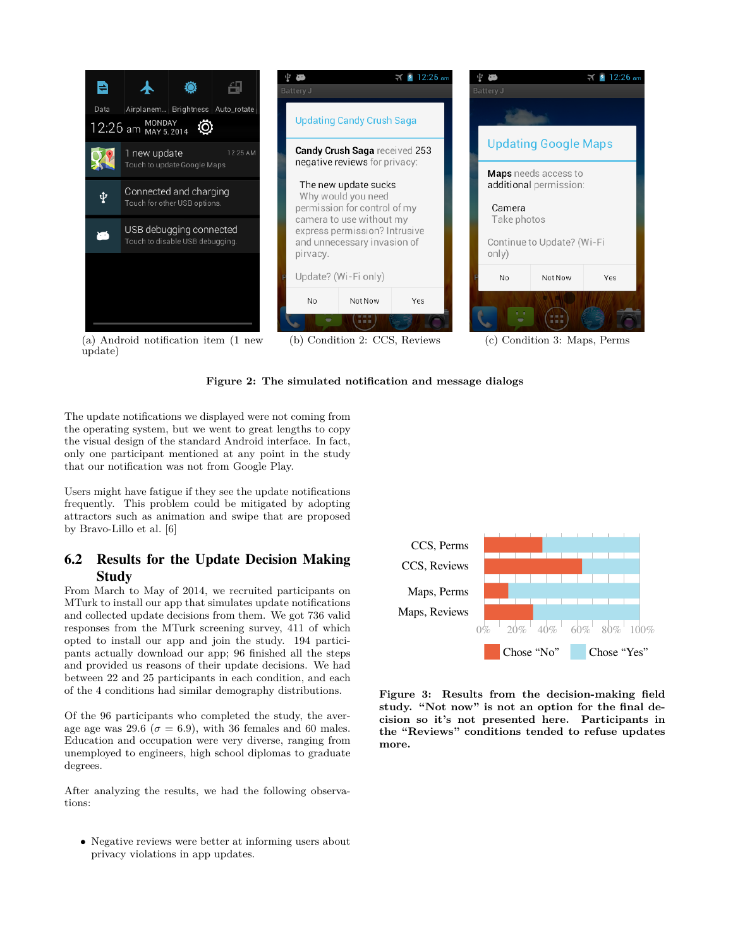<span id="page-7-0"></span>

**Figure 2: The simulated notification and message dialogs**

<span id="page-7-1"></span>The update notifications we displayed were not coming from the operating system, but we went to great lengths to copy the visual design of the standard Android interface. In fact, only one participant mentioned at any point in the study that our notification was not from Google Play.

Users might have fatigue if they see the update notifications frequently. This problem could be mitigated by adopting attractors such as animation and swipe that are proposed by Bravo-Lillo et al. [[6](#page-9-5)]

# 6.2 Results for the Update Decision Making Study

From March to May of 2014, we recruited participants on MTurk to install our app that simulates update notifications and collected update decisions from them. We got 736 valid responses from the MTurk screening survey, 411 of which opted to install our app and join the study. 194 participants actually download our app; 96 finished all the steps and provided us reasons of their update decisions. We had between 22 and 25 participants in each condition, and each of the 4 conditions had similar demography distributions.

Of the 96 participants who completed the study, the average age was 29.6 ( $\sigma = 6.9$ ), with 36 females and 60 males. Education and occupation were very diverse, ranging from unemployed to engineers, high school diplomas to graduate degrees.

After analyzing the results, we had the following observations:

*•* Negative reviews were better at informing users about privacy violations in app updates.

<span id="page-7-2"></span>

<span id="page-7-3"></span>**Figure 3: Results from the decision-making field study. "Not now" is not an option for the final decision so it's not presented here. Participants in the "Reviews" conditions tended to refuse updates more.**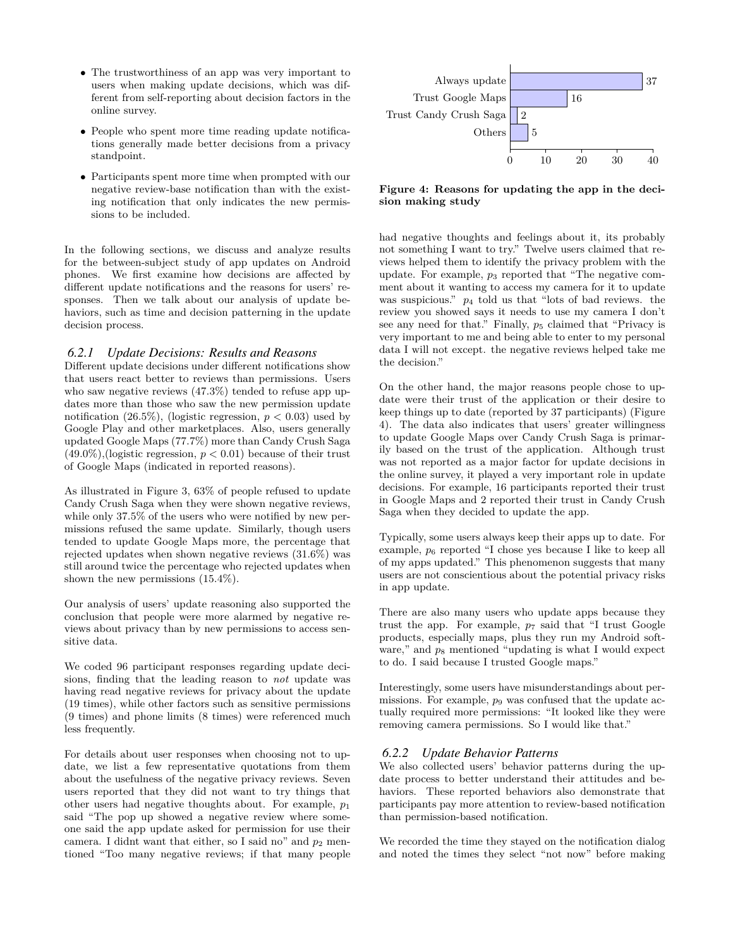- *•* The trustworthiness of an app was very important to users when making update decisions, which was different from self-reporting about decision factors in the online survey.
- *•* People who spent more time reading update notifications generally made better decisions from a privacy standpoint.
- *•* Participants spent more time when prompted with our negative review-base notification than with the existing notification that only indicates the new permissions to be included.

In the following sections, we discuss and analyze results for the between-subject study of app updates on Android phones. We first examine how decisions are affected by different update notifications and the reasons for users' responses. Then we talk about our analysis of update behaviors, such as time and decision patterning in the update decision process.

#### *6.2.1 Update Decisions: Results and Reasons*

Different update decisions under different notifications show that users react better to reviews than permissions. Users who saw negative reviews  $(47.3\%)$  tended to refuse app updates more than those who saw the new permission update notification  $(26.5\%)$ , (logistic regression,  $p < 0.03$ ) used by Google Play and other marketplaces. Also, users generally updated Google Maps (77*.*7%) more than Candy Crush Saga  $(49.0\%)$ , (logistic regression,  $p < 0.01$ ) because of their trust of Google Maps (indicated in reported reasons).

As illustrated in Figure [3](#page-7-3), 63% of people refused to update Candy Crush Saga when they were shown negative reviews, while only 37.5% of the users who were notified by new permissions refused the same update. Similarly, though users tended to update Google Maps more, the percentage that rejected updates when shown negative reviews (31.6%) was still around twice the percentage who rejected updates when shown the new permissions (15.4%).

Our analysis of users' update reasoning also supported the conclusion that people were more alarmed by negative reviews about privacy than by new permissions to access sensitive data.

We coded 96 participant responses regarding update decisions, finding that the leading reason to *not* update was having read negative reviews for privacy about the update (19 times), while other factors such as sensitive permissions (9 times) and phone limits (8 times) were referenced much less frequently.

For details about user responses when choosing not to update, we list a few representative quotations from them about the usefulness of the negative privacy reviews. Seven users reported that they did not want to try things that other users had negative thoughts about. For example, *p*<sup>1</sup> said "The pop up showed a negative review where someone said the app update asked for permission for use their camera. I didnt want that either, so I said no" and  $p_2$  mentioned "Too many negative reviews; if that many people



#### <span id="page-8-0"></span>**Figure 4: Reasons for updating the app in the decision making study**

had negative thoughts and feelings about it, its probably not something I want to try." Twelve users claimed that reviews helped them to identify the privacy problem with the update. For example,  $p_3$  reported that "The negative comment about it wanting to access my camera for it to update was suspicious."  $p_4$  told us that "lots of bad reviews. the review you showed says it needs to use my camera I don't see any need for that." Finally,  $p_5$  claimed that "Privacy is very important to me and being able to enter to my personal data I will not except. the negative reviews helped take me the decision."

On the other hand, the major reasons people chose to update were their trust of the application or their desire to keep things up to date (reported by 37 participants) (Figure [4](#page-8-0)). The data also indicates that users' greater willingness to update Google Maps over Candy Crush Saga is primarily based on the trust of the application. Although trust was not reported as a major factor for update decisions in the online survey, it played a very important role in update decisions. For example, 16 participants reported their trust in Google Maps and 2 reported their trust in Candy Crush Saga when they decided to update the app.

Typically, some users always keep their apps up to date. For example,  $p_6$  reported "I chose yes because I like to keep all of my apps updated." This phenomenon suggests that many users are not conscientious about the potential privacy risks in app update.

There are also many users who update apps because they trust the app. For example,  $p_7$  said that "I trust Google products, especially maps, plus they run my Android software," and  $p_8$  mentioned "updating is what I would expect to do. I said because I trusted Google maps."

Interestingly, some users have misunderstandings about permissions. For example,  $p_9$  was confused that the update actually required more permissions: "It looked like they were removing camera permissions. So I would like that."

#### *6.2.2 Update Behavior Patterns*

We also collected users' behavior patterns during the update process to better understand their attitudes and behaviors. These reported behaviors also demonstrate that participants pay more attention to review-based notification than permission-based notification.

We recorded the time they stayed on the notification dialog and noted the times they select "not now" before making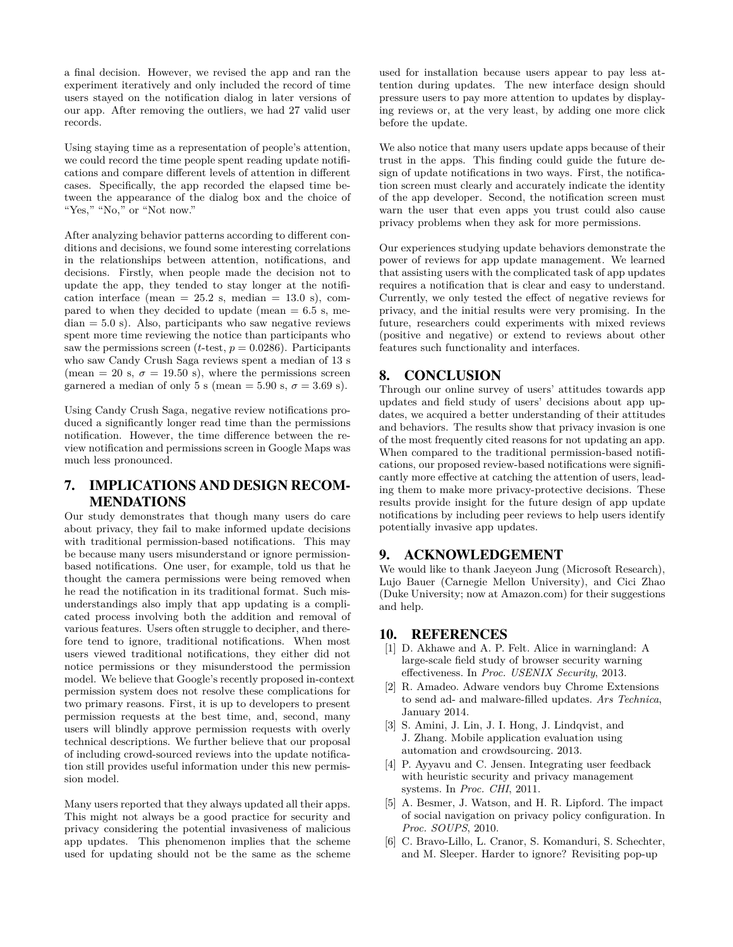a final decision. However, we revised the app and ran the experiment iteratively and only included the record of time users stayed on the notification dialog in later versions of our app. After removing the outliers, we had 27 valid user records.

Using staying time as a representation of people's attention, we could record the time people spent reading update notifications and compare different levels of attention in different cases. Specifically, the app recorded the elapsed time between the appearance of the dialog box and the choice of "Yes," "No," or "Not now."

After analyzing behavior patterns according to different conditions and decisions, we found some interesting correlations in the relationships between attention, notifications, and decisions. Firstly, when people made the decision not to update the app, they tended to stay longer at the notification interface (mean  $= 25.2$  s, median  $= 13.0$  s), compared to when they decided to update (mean  $= 6.5$  s, me $dian = 5.0$  s). Also, participants who saw negative reviews spent more time reviewing the notice than participants who saw the permissions screen ( $t$ -test,  $p = 0.0286$ ). Participants who saw Candy Crush Saga reviews spent a median of 13 s (mean = 20 s,  $\sigma$  = 19.50 s), where the permissions screen garnered a median of only 5 s (mean  $= 5.90$  s,  $\sigma = 3.69$  s).

Using Candy Crush Saga, negative review notifications produced a significantly longer read time than the permissions notification. However, the time difference between the review notification and permissions screen in Google Maps was much less pronounced.

### 7. IMPLICATIONS AND DESIGN RECOM-MENDATIONS

Our study demonstrates that though many users do care about privacy, they fail to make informed update decisions with traditional permission-based notifications. This may be because many users misunderstand or ignore permissionbased notifications. One user, for example, told us that he thought the camera permissions were being removed when he read the notification in its traditional format. Such misunderstandings also imply that app updating is a complicated process involving both the addition and removal of various features. Users often struggle to decipher, and therefore tend to ignore, traditional notifications. When most users viewed traditional notifications, they either did not notice permissions or they misunderstood the permission model. We believe that Google's recently proposed in-context permission system does not resolve these complications for two primary reasons. First, it is up to developers to present permission requests at the best time, and, second, many users will blindly approve permission requests with overly technical descriptions. We further believe that our proposal of including crowd-sourced reviews into the update notification still provides useful information under this new permission model.

Many users reported that they always updated all their apps. This might not always be a good practice for security and privacy considering the potential invasiveness of malicious app updates. This phenomenon implies that the scheme used for updating should not be the same as the scheme

used for installation because users appear to pay less attention during updates. The new interface design should pressure users to pay more attention to updates by displaying reviews or, at the very least, by adding one more click before the update.

We also notice that many users update apps because of their trust in the apps. This finding could guide the future design of update notifications in two ways. First, the notification screen must clearly and accurately indicate the identity of the app developer. Second, the notification screen must warn the user that even apps you trust could also cause privacy problems when they ask for more permissions.

Our experiences studying update behaviors demonstrate the power of reviews for app update management. We learned that assisting users with the complicated task of app updates requires a notification that is clear and easy to understand. Currently, we only tested the effect of negative reviews for privacy, and the initial results were very promising. In the future, researchers could experiments with mixed reviews (positive and negative) or extend to reviews about other features such functionality and interfaces.

# 8. CONCLUSION

Through our online survey of users' attitudes towards app updates and field study of users' decisions about app updates, we acquired a better understanding of their attitudes and behaviors. The results show that privacy invasion is one of the most frequently cited reasons for not updating an app. When compared to the traditional permission-based notifications, our proposed review-based notifications were significantly more effective at catching the attention of users, leading them to make more privacy-protective decisions. These results provide insight for the future design of app update notifications by including peer reviews to help users identify potentially invasive app updates.

### 9. ACKNOWLEDGEMENT

We would like to thank Jaeyeon Jung (Microsoft Research), Lujo Bauer (Carnegie Mellon University), and Cici Zhao (Duke University; now at Amazon.com) for their suggestions and help.

#### 10. REFERENCES

- <span id="page-9-4"></span>[1] D. Akhawe and A. P. Felt. Alice in warningland: A large-scale field study of browser security warning effectiveness. In *Proc. USENIX Security*, 2013.
- <span id="page-9-0"></span>[2] R. Amadeo. Adware vendors buy Chrome Extensions to send ad- and malware-filled updates. *Ars Technica*, January 2014.
- <span id="page-9-1"></span>[3] S. Amini, J. Lin, J. I. Hong, J. Lindqvist, and J. Zhang. Mobile application evaluation using automation and crowdsourcing. 2013.
- <span id="page-9-3"></span>[4] P. Ayyavu and C. Jensen. Integrating user feedback with heuristic security and privacy management systems. In *Proc. CHI*, 2011.
- <span id="page-9-2"></span>[5] A. Besmer, J. Watson, and H. R. Lipford. The impact of social navigation on privacy policy configuration. In *Proc. SOUPS*, 2010.
- <span id="page-9-5"></span>[6] C. Bravo-Lillo, L. Cranor, S. Komanduri, S. Schechter, and M. Sleeper. Harder to ignore? Revisiting pop-up